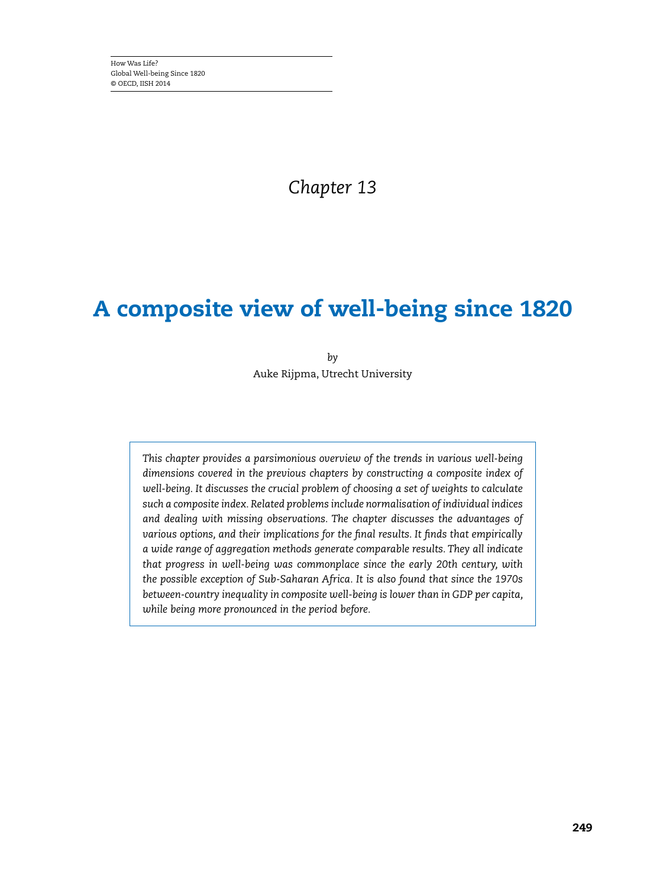*Chapter 13*

# A composite view of well-being since 1820

*by* Auke Rijpma, Utrecht University

*This chapter provides a parsimonious overview of the trends in various well-being dimensions covered in the previous chapters by constructing a composite index of well-being. It discusses the crucial problem of choosing a set of weights to calculate such a composite index. Related problems include normalisation of individual indices and dealing with missing observations. The chapter discusses the advantages of various options, and their implications for the final results. It finds that empirically a wide range of aggregation methods generate comparable results. They all indicate that progress in well-being was commonplace since the early 20th century, with the possible exception of Sub-Saharan Africa. It is also found that since the 1970s between-country inequality in composite well-being is lower than in GDP per capita, while being more pronounced in the period before.*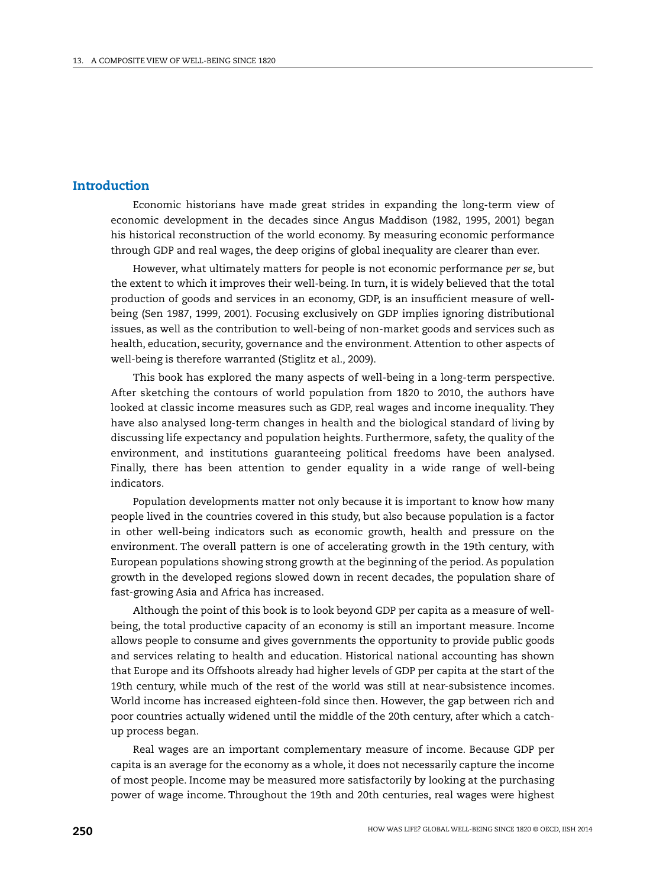# Introduction

Economic historians have made great strides in expanding the long-term view of economic development in the decades since Angus Maddison (1982, 1995, 2001) began his historical reconstruction of the world economy. By measuring economic performance through GDP and real wages, the deep origins of global inequality are clearer than ever.

However, what ultimately matters for people is not economic performance *per se*, but the extent to which it improves their well-being. In turn, it is widely believed that the total production of goods and services in an economy, GDP, is an insufficient measure of wellbeing (Sen 1987, 1999, 2001). Focusing exclusively on GDP implies ignoring distributional issues, as well as the contribution to well-being of non-market goods and services such as health, education, security, governance and the environment. Attention to other aspects of well-being is therefore warranted (Stiglitz et al.*,* 2009).

This book has explored the many aspects of well-being in a long-term perspective. After sketching the contours of world population from 1820 to 2010, the authors have looked at classic income measures such as GDP, real wages and income inequality. They have also analysed long-term changes in health and the biological standard of living by discussing life expectancy and population heights. Furthermore, safety, the quality of the environment, and institutions guaranteeing political freedoms have been analysed. Finally, there has been attention to gender equality in a wide range of well-being indicators.

Population developments matter not only because it is important to know how many people lived in the countries covered in this study, but also because population is a factor in other well-being indicators such as economic growth, health and pressure on the environment. The overall pattern is one of accelerating growth in the 19th century, with European populations showing strong growth at the beginning of the period. As population growth in the developed regions slowed down in recent decades, the population share of fast-growing Asia and Africa has increased.

Although the point of this book is to look beyond GDP per capita as a measure of wellbeing, the total productive capacity of an economy is still an important measure. Income allows people to consume and gives governments the opportunity to provide public goods and services relating to health and education. Historical national accounting has shown that Europe and its Offshoots already had higher levels of GDP per capita at the start of the 19th century, while much of the rest of the world was still at near-subsistence incomes. World income has increased eighteen-fold since then. However, the gap between rich and poor countries actually widened until the middle of the 20th century, after which a catchup process began.

Real wages are an important complementary measure of income. Because GDP per capita is an average for the economy as a whole, it does not necessarily capture the income of most people. Income may be measured more satisfactorily by looking at the purchasing power of wage income. Throughout the 19th and 20th centuries, real wages were highest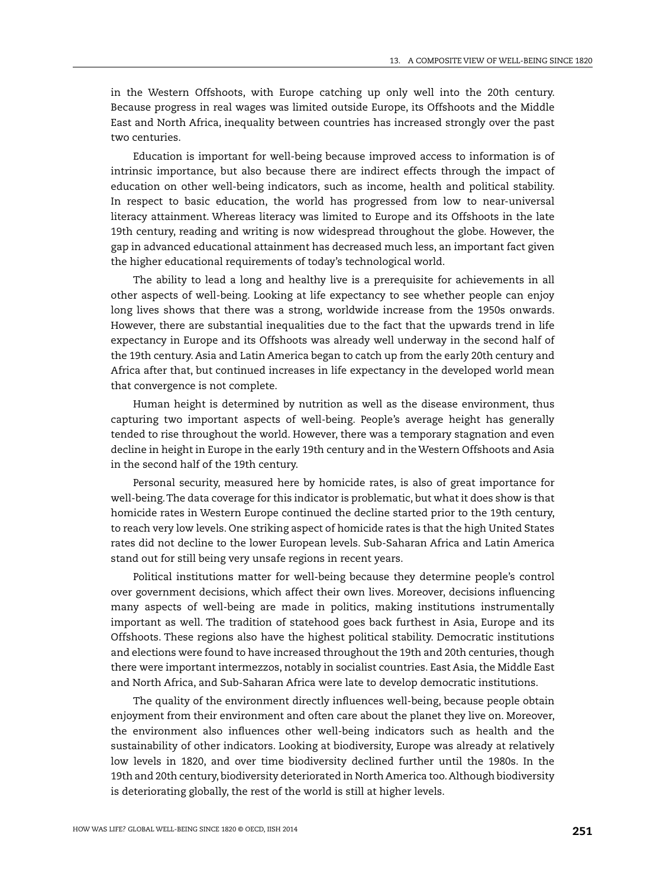in the Western Offshoots, with Europe catching up only well into the 20th century. Because progress in real wages was limited outside Europe, its Offshoots and the Middle East and North Africa, inequality between countries has increased strongly over the past two centuries.

Education is important for well-being because improved access to information is of intrinsic importance, but also because there are indirect effects through the impact of education on other well-being indicators, such as income, health and political stability. In respect to basic education, the world has progressed from low to near-universal literacy attainment. Whereas literacy was limited to Europe and its Offshoots in the late 19th century, reading and writing is now widespread throughout the globe. However, the gap in advanced educational attainment has decreased much less, an important fact given the higher educational requirements of today's technological world.

The ability to lead a long and healthy live is a prerequisite for achievements in all other aspects of well-being. Looking at life expectancy to see whether people can enjoy long lives shows that there was a strong, worldwide increase from the 1950s onwards. However, there are substantial inequalities due to the fact that the upwards trend in life expectancy in Europe and its Offshoots was already well underway in the second half of the 19th century. Asia and Latin America began to catch up from the early 20th century and Africa after that, but continued increases in life expectancy in the developed world mean that convergence is not complete.

Human height is determined by nutrition as well as the disease environment, thus capturing two important aspects of well-being. People's average height has generally tended to rise throughout the world. However, there was a temporary stagnation and even decline in height in Europe in the early 19th century and in the Western Offshoots and Asia in the second half of the 19th century.

Personal security, measured here by homicide rates, is also of great importance for well-being. The data coverage for this indicator is problematic, but what it does show is that homicide rates in Western Europe continued the decline started prior to the 19th century, to reach very low levels. One striking aspect of homicide rates is that the high United States rates did not decline to the lower European levels. Sub-Saharan Africa and Latin America stand out for still being very unsafe regions in recent years.

Political institutions matter for well-being because they determine people's control over government decisions, which affect their own lives. Moreover, decisions influencing many aspects of well-being are made in politics, making institutions instrumentally important as well. The tradition of statehood goes back furthest in Asia, Europe and its Offshoots. These regions also have the highest political stability. Democratic institutions and elections were found to have increased throughout the 19th and 20th centuries, though there were important intermezzos, notably in socialist countries. East Asia, the Middle East and North Africa, and Sub-Saharan Africa were late to develop democratic institutions.

The quality of the environment directly influences well-being, because people obtain enjoyment from their environment and often care about the planet they live on. Moreover, the environment also influences other well-being indicators such as health and the sustainability of other indicators. Looking at biodiversity, Europe was already at relatively low levels in 1820, and over time biodiversity declined further until the 1980s. In the 19th and 20th century, biodiversity deteriorated in North America too. Although biodiversity is deteriorating globally, the rest of the world is still at higher levels.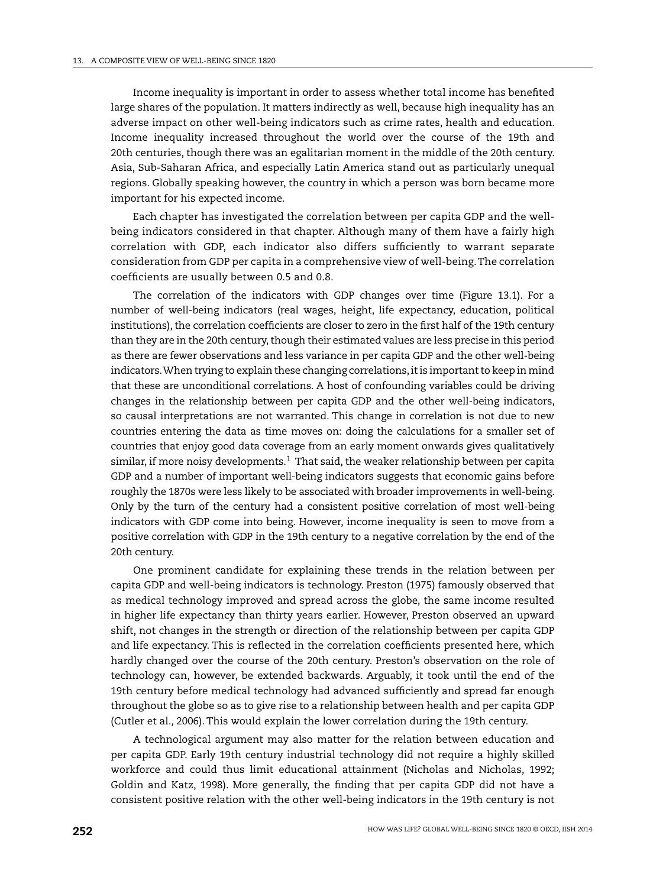Income inequality is important in order to assess whether total income has benefited large shares of the population. It matters indirectly as well, because high inequality has an adverse impact on other well-being indicators such as crime rates, health and education. Income inequality increased throughout the world over the course of the 19th and 20th centuries, though there was an egalitarian moment in the middle of the 20th century. Asia, Sub-Saharan Africa, and especially Latin America stand out as particularly unequal regions. Globally speaking however, the country in which a person was born became more important for his expected income.

Each chapter has investigated the correlation between per capita GDP and the wellbeing indicators considered in that chapter. Although many of them have a fairly high correlation with GDP, each indicator also differs sufficiently to warrant separate consideration from GDP per capita in a comprehensive view of well-being. The correlation coefficients are usually between 0.5 and 0.8.

The correlation of the indicators with GDP changes over time [\(Figure 13.1\)](#page-4-0). For a number of well-being indicators (real wages, height, life expectancy, education, political institutions), the correlation coefficients are closer to zero in the first half of the 19th century than they are in the 20th century, though their estimated values are less precise in this period as there are fewer observations and less variance in per capita GDP and the other well-being indicators. When trying to explain these changing correlations, it is important to keep in mind that these are unconditional correlations. A host of confounding variables could be driving changes in the relationship between per capita GDP and the other well-being indicators, so causal interpretations are not warranted. This change in correlation is not due to new countries entering the data as time moves on: doing the calculations for a smaller set of countries that enjoy good data coverage from an early moment onwards gives qualitatively similar, if more noisy developments.<sup>1</sup> That said, the weaker relationship between per capita GDP and a number of important well-being indicators suggests that economic gains before roughly the 1870s were less likely to be associated with broader improvements in well-being. Only by the turn of the century had a consistent positive correlation of most well-being indicators with GDP come into being. However, income inequality is seen to move from a positive correlation with GDP in the 19th century to a negative correlation by the end of the 20th century.

One prominent candidate for explaining these trends in the relation between per capita GDP and well-being indicators is technology. Preston (1975) famously observed that as medical technology improved and spread across the globe, the same income resulted in higher life expectancy than thirty years earlier. However, Preston observed an upward shift, not changes in the strength or direction of the relationship between per capita GDP and life expectancy. This is reflected in the correlation coefficients presented here, which hardly changed over the course of the 20th century. Preston's observation on the role of technology can, however, be extended backwards. Arguably, it took until the end of the 19th century before medical technology had advanced sufficiently and spread far enough throughout the globe so as to give rise to a relationship between health and per capita GDP (Cutler et al.*,* 2006). This would explain the lower correlation during the 19th century.

A technological argument may also matter for the relation between education and per capita GDP. Early 19th century industrial technology did not require a highly skilled workforce and could thus limit educational attainment (Nicholas and Nicholas, 1992; Goldin and Katz, 1998). More generally, the finding that per capita GDP did not have a consistent positive relation with the other well-being indicators in the 19th century is not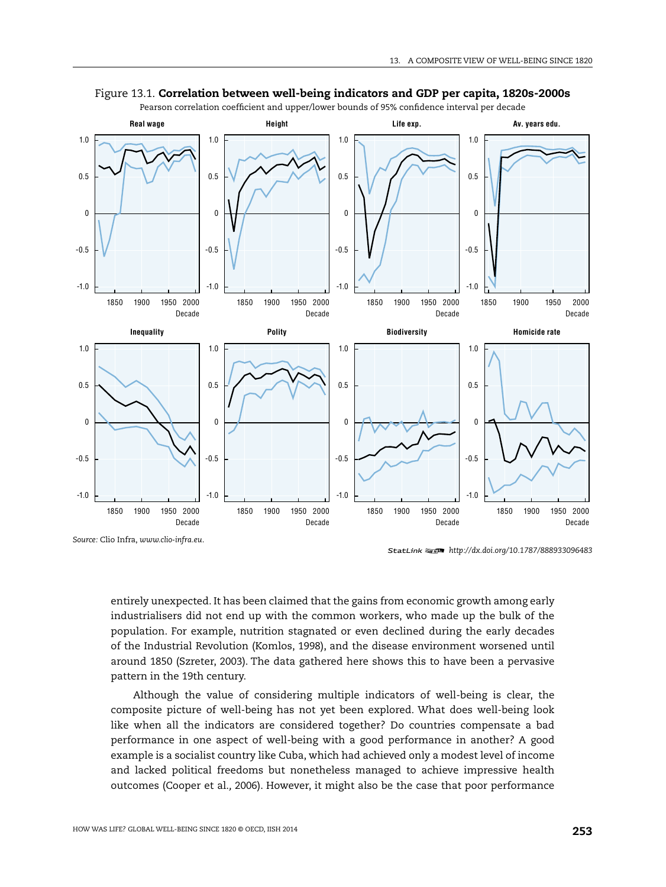<span id="page-4-0"></span>

Figure 13.1. Correlation between well-being indicators and GDP per capita, 1820s-2000s

12 *http://dx.doi.org/10.1787/888933096483*

entirely unexpected. It has been claimed that the gains from economic growth among early industrialisers did not end up with the common workers, who made up the bulk of the population. For example, nutrition stagnated or even declined during the early decades of the Industrial Revolution (Komlos, 1998), and the disease environment worsened until around 1850 (Szreter, 2003). The data gathered here shows this to have been a pervasive pattern in the 19th century.

Although the value of considering multiple indicators of well-being is clear, the composite picture of well-being has not yet been explored. What does well-being look like when all the indicators are considered together? Do countries compensate a bad performance in one aspect of well-being with a good performance in another? A good example is a socialist country like Cuba, which had achieved only a modest level of income and lacked political freedoms but nonetheless managed to achieve impressive health outcomes (Cooper et al.*,* 2006). However, it might also be the case that poor performance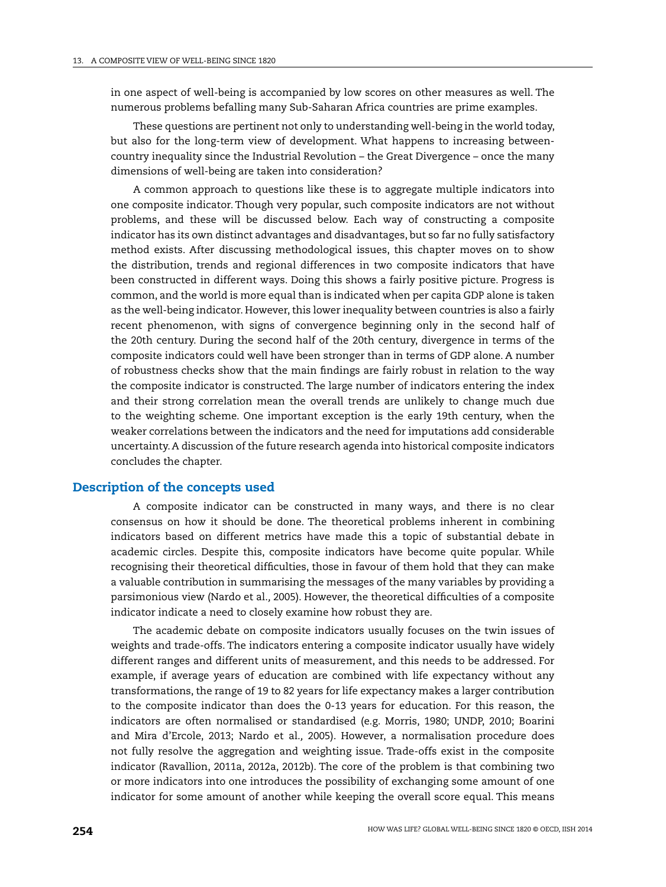in one aspect of well-being is accompanied by low scores on other measures as well. The numerous problems befalling many Sub-Saharan Africa countries are prime examples.

These questions are pertinent not only to understanding well-being in the world today, but also for the long-term view of development. What happens to increasing betweencountry inequality since the Industrial Revolution – the Great Divergence – once the many dimensions of well-being are taken into consideration?

A common approach to questions like these is to aggregate multiple indicators into one composite indicator. Though very popular, such composite indicators are not without problems, and these will be discussed below. Each way of constructing a composite indicator has its own distinct advantages and disadvantages, but so far no fully satisfactory method exists. After discussing methodological issues, this chapter moves on to show the distribution, trends and regional differences in two composite indicators that have been constructed in different ways. Doing this shows a fairly positive picture. Progress is common, and the world is more equal than is indicated when per capita GDP alone is taken as the well-being indicator. However, this lower inequality between countries is also a fairly recent phenomenon, with signs of convergence beginning only in the second half of the 20th century. During the second half of the 20th century, divergence in terms of the composite indicators could well have been stronger than in terms of GDP alone. A number of robustness checks show that the main findings are fairly robust in relation to the way the composite indicator is constructed. The large number of indicators entering the index and their strong correlation mean the overall trends are unlikely to change much due to the weighting scheme. One important exception is the early 19th century, when the weaker correlations between the indicators and the need for imputations add considerable uncertainty. A discussion of the future research agenda into historical composite indicators concludes the chapter.

## Description of the concepts used

A composite indicator can be constructed in many ways, and there is no clear consensus on how it should be done. The theoretical problems inherent in combining indicators based on different metrics have made this a topic of substantial debate in academic circles. Despite this, composite indicators have become quite popular. While recognising their theoretical difficulties, those in favour of them hold that they can make a valuable contribution in summarising the messages of the many variables by providing a parsimonious view (Nardo et al.*,* 2005). However, the theoretical difficulties of a composite indicator indicate a need to closely examine how robust they are.

The academic debate on composite indicators usually focuses on the twin issues of weights and trade-offs. The indicators entering a composite indicator usually have widely different ranges and different units of measurement, and this needs to be addressed. For example, if average years of education are combined with life expectancy without any transformations, the range of 19 to 82 years for life expectancy makes a larger contribution to the composite indicator than does the 0-13 years for education. For this reason, the indicators are often normalised or standardised (e.g. Morris, 1980; UNDP, 2010; Boarini and Mira d'Ercole, 2013; Nardo et al.*,* 2005). However, a normalisation procedure does not fully resolve the aggregation and weighting issue. Trade-offs exist in the composite indicator (Ravallion, 2011a, 2012a, 2012b). The core of the problem is that combining two or more indicators into one introduces the possibility of exchanging some amount of one indicator for some amount of another while keeping the overall score equal. This means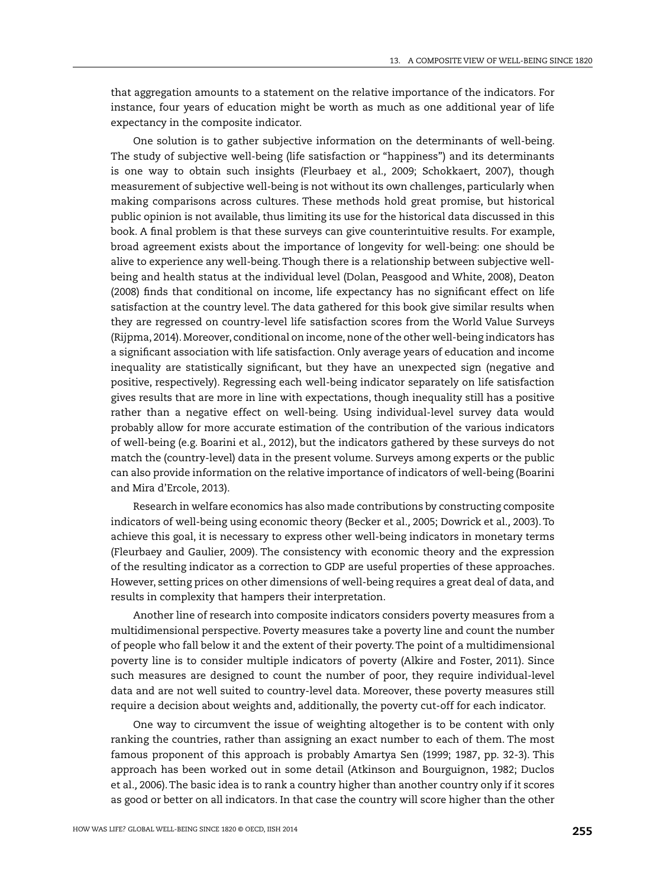that aggregation amounts to a statement on the relative importance of the indicators. For instance, four years of education might be worth as much as one additional year of life expectancy in the composite indicator.

One solution is to gather subjective information on the determinants of well-being. The study of subjective well-being (life satisfaction or "happiness") and its determinants is one way to obtain such insights (Fleurbaey et al.*,* 2009; Schokkaert, 2007), though measurement of subjective well-being is not without its own challenges, particularly when making comparisons across cultures. These methods hold great promise, but historical public opinion is not available, thus limiting its use for the historical data discussed in this book. A final problem is that these surveys can give counterintuitive results. For example, broad agreement exists about the importance of longevity for well-being: one should be alive to experience any well-being. Though there is a relationship between subjective wellbeing and health status at the individual level (Dolan, Peasgood and White, 2008), Deaton (2008) finds that conditional on income, life expectancy has no significant effect on life satisfaction at the country level. The data gathered for this book give similar results when they are regressed on country-level life satisfaction scores from the World Value Surveys (Rijpma, 2014). Moreover, conditional on income, none of the other well-being indicators has a significant association with life satisfaction. Only average years of education and income inequality are statistically significant, but they have an unexpected sign (negative and positive, respectively). Regressing each well-being indicator separately on life satisfaction gives results that are more in line with expectations, though inequality still has a positive rather than a negative effect on well-being. Using individual-level survey data would probably allow for more accurate estimation of the contribution of the various indicators of well-being (e.g. Boarini et al.*,* 2012), but the indicators gathered by these surveys do not match the (country-level) data in the present volume. Surveys among experts or the public can also provide information on the relative importance of indicators of well-being (Boarini and Mira d'Ercole, 2013).

Research in welfare economics has also made contributions by constructing composite indicators of well-being using economic theory (Becker et al.*,* 2005; Dowrick et al.*,* 2003). To achieve this goal, it is necessary to express other well-being indicators in monetary terms (Fleurbaey and Gaulier, 2009). The consistency with economic theory and the expression of the resulting indicator as a correction to GDP are useful properties of these approaches. However, setting prices on other dimensions of well-being requires a great deal of data, and results in complexity that hampers their interpretation.

Another line of research into composite indicators considers poverty measures from a multidimensional perspective. Poverty measures take a poverty line and count the number of people who fall below it and the extent of their poverty. The point of a multidimensional poverty line is to consider multiple indicators of poverty (Alkire and Foster, 2011). Since such measures are designed to count the number of poor, they require individual-level data and are not well suited to country-level data. Moreover, these poverty measures still require a decision about weights and, additionally, the poverty cut-off for each indicator.

One way to circumvent the issue of weighting altogether is to be content with only ranking the countries, rather than assigning an exact number to each of them. The most famous proponent of this approach is probably Amartya Sen (1999; 1987, pp. 32-3). This approach has been worked out in some detail (Atkinson and Bourguignon, 1982; Duclos et al.*,* 2006). The basic idea is to rank a country higher than another country only if it scores as good or better on all indicators. In that case the country will score higher than the other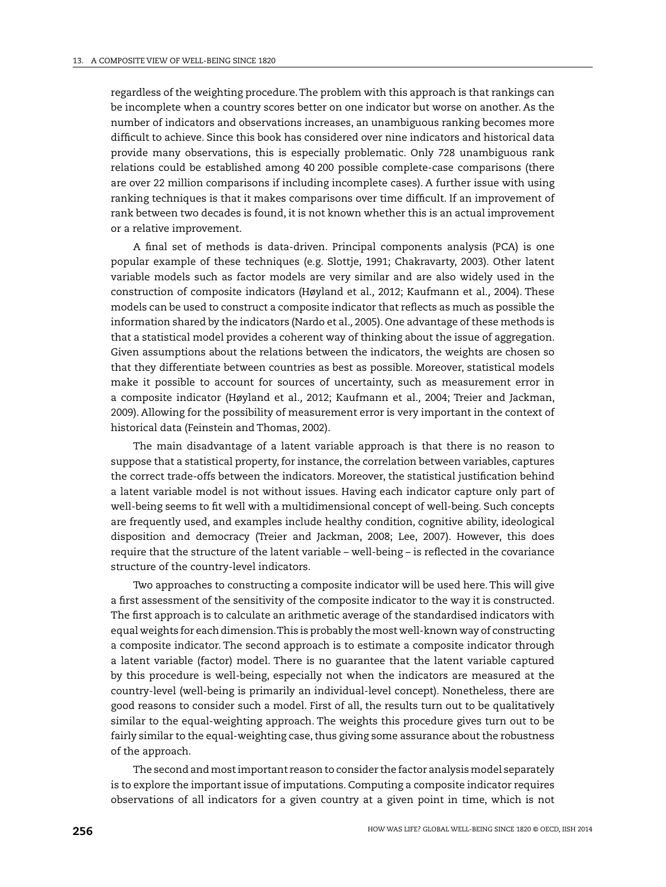regardless of the weighting procedure. The problem with this approach is that rankings can be incomplete when a country scores better on one indicator but worse on another. As the number of indicators and observations increases, an unambiguous ranking becomes more difficult to achieve. Since this book has considered over nine indicators and historical data provide many observations, this is especially problematic. Only 728 unambiguous rank relations could be established among 40 200 possible complete-case comparisons (there are over 22 million comparisons if including incomplete cases). A further issue with using ranking techniques is that it makes comparisons over time difficult. If an improvement of rank between two decades is found, it is not known whether this is an actual improvement or a relative improvement.

A final set of methods is data-driven. Principal components analysis (PCA) is one popular example of these techniques (e.g. Slottje, 1991; Chakravarty, 2003). Other latent variable models such as factor models are very similar and are also widely used in the construction of composite indicators (Høyland et al.*,* 2012; Kaufmann et al.*,* 2004). These models can be used to construct a composite indicator that reflects as much as possible the information shared by the indicators (Nardo et al.*,* 2005). One advantage of these methods is that a statistical model provides a coherent way of thinking about the issue of aggregation. Given assumptions about the relations between the indicators, the weights are chosen so that they differentiate between countries as best as possible. Moreover, statistical models make it possible to account for sources of uncertainty, such as measurement error in a composite indicator (Høyland et al.*,* 2012; Kaufmann et al.*,* 2004; Treier and Jackman, 2009). Allowing for the possibility of measurement error is very important in the context of historical data (Feinstein and Thomas, 2002).

The main disadvantage of a latent variable approach is that there is no reason to suppose that a statistical property, for instance, the correlation between variables, captures the correct trade-offs between the indicators. Moreover, the statistical justification behind a latent variable model is not without issues. Having each indicator capture only part of well-being seems to fit well with a multidimensional concept of well-being. Such concepts are frequently used, and examples include healthy condition, cognitive ability, ideological disposition and democracy (Treier and Jackman, 2008; Lee, 2007). However, this does require that the structure of the latent variable – well-being – is reflected in the covariance structure of the country-level indicators.

Two approaches to constructing a composite indicator will be used here. This will give a first assessment of the sensitivity of the composite indicator to the way it is constructed. The first approach is to calculate an arithmetic average of the standardised indicators with equal weights for each dimension. This is probably the most well-known way of constructing a composite indicator. The second approach is to estimate a composite indicator through a latent variable (factor) model. There is no guarantee that the latent variable captured by this procedure is well-being, especially not when the indicators are measured at the country-level (well-being is primarily an individual-level concept). Nonetheless, there are good reasons to consider such a model. First of all, the results turn out to be qualitatively similar to the equal-weighting approach. The weights this procedure gives turn out to be fairly similar to the equal-weighting case, thus giving some assurance about the robustness of the approach.

The second and most important reason to consider the factor analysis model separately is to explore the important issue of imputations. Computing a composite indicator requires observations of all indicators for a given country at a given point in time, which is not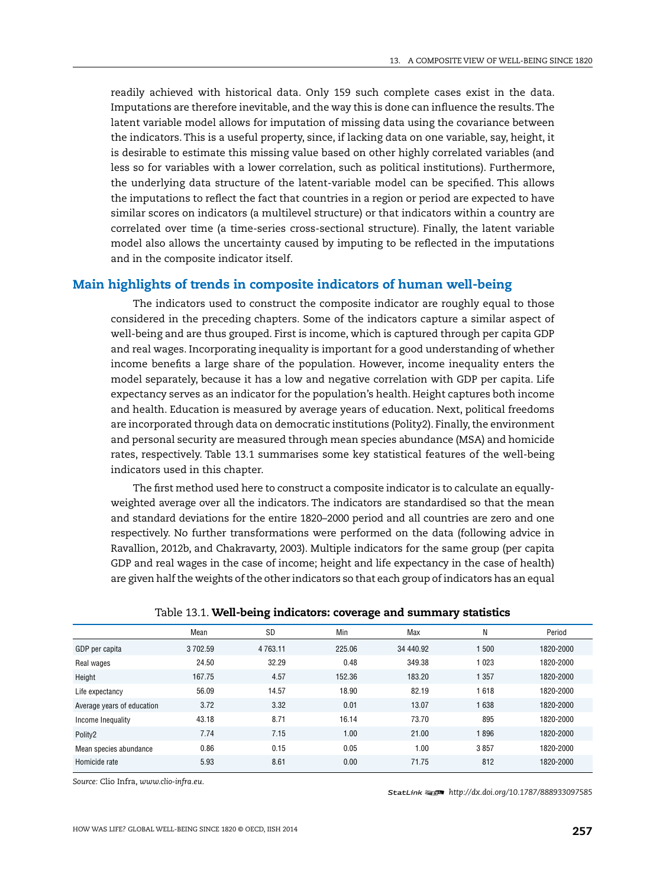readily achieved with historical data. Only 159 such complete cases exist in the data. Imputations are therefore inevitable, and the way this is done can influence the results. The latent variable model allows for imputation of missing data using the covariance between the indicators. This is a useful property, since, if lacking data on one variable, say, height, it is desirable to estimate this missing value based on other highly correlated variables (and less so for variables with a lower correlation, such as political institutions). Furthermore, the underlying data structure of the latent-variable model can be specified. This allows the imputations to reflect the fact that countries in a region or period are expected to have similar scores on indicators (a multilevel structure) or that indicators within a country are correlated over time (a time-series cross-sectional structure). Finally, the latent variable model also allows the uncertainty caused by imputing to be reflected in the imputations and in the composite indicator itself.

## <span id="page-8-0"></span>Main highlights of trends in composite indicators of human well-being

The indicators used to construct the composite indicator are roughly equal to those considered in the preceding chapters. Some of the indicators capture a similar aspect of well-being and are thus grouped. First is income, which is captured through per capita GDP and real wages. Incorporating inequality is important for a good understanding of whether income benefits a large share of the population. However, income inequality enters the model separately, because it has a low and negative correlation with GDP per capita. Life expectancy serves as an indicator for the population's health. Height captures both income and health. Education is measured by average years of education. Next, political freedoms are incorporated through data on democratic institutions (Polity2). Finally, the environment and personal security are measured through mean species abundance (MSA) and homicide rates, respectively. [Table 13.1](#page-8-0) summarises some key statistical features of the well-being indicators used in this chapter.

The first method used here to construct a composite indicator is to calculate an equallyweighted average over all the indicators. The indicators are standardised so that the mean and standard deviations for the entire 1820–2000 period and all countries are zero and one respectively. No further transformations were performed on the data (following advice in Ravallion, 2012b, and Chakravarty, 2003). Multiple indicators for the same group (per capita GDP and real wages in the case of income; height and life expectancy in the case of health) are given half the weights of the other indicators so that each group of indicators has an equal

|                            | Mean    | <b>SD</b>     | Min    | Max       | N       | Period    |
|----------------------------|---------|---------------|--------|-----------|---------|-----------|
| GDP per capita             | 3702.59 | 4 7 6 3 . 1 1 | 225.06 | 34 440.92 | 1500    | 1820-2000 |
| Real wages                 | 24.50   | 32.29         | 0.48   | 349.38    | 1 0 2 3 | 1820-2000 |
| Height                     | 167.75  | 4.57          | 152.36 | 183.20    | 1 357   | 1820-2000 |
| Life expectancy            | 56.09   | 14.57         | 18.90  | 82.19     | 1618    | 1820-2000 |
| Average years of education | 3.72    | 3.32          | 0.01   | 13.07     | 1638    | 1820-2000 |
| Income Inequality          | 43.18   | 8.71          | 16.14  | 73.70     | 895     | 1820-2000 |
| Polity2                    | 7.74    | 7.15          | 1.00   | 21.00     | 1896    | 1820-2000 |
| Mean species abundance     | 0.86    | 0.15          | 0.05   | 1.00      | 3857    | 1820-2000 |
| Homicide rate              | 5.93    | 8.61          | 0.00   | 71.75     | 812     | 1820-2000 |

#### Table 13.1. Well-being indicators: coverage and summary statistics

*Source:* Clio Infra, *[www.clio-infra.eu](http://www.clio-infra.eu)*.

12 *http://dx.doi.org/10.1787/888933097585*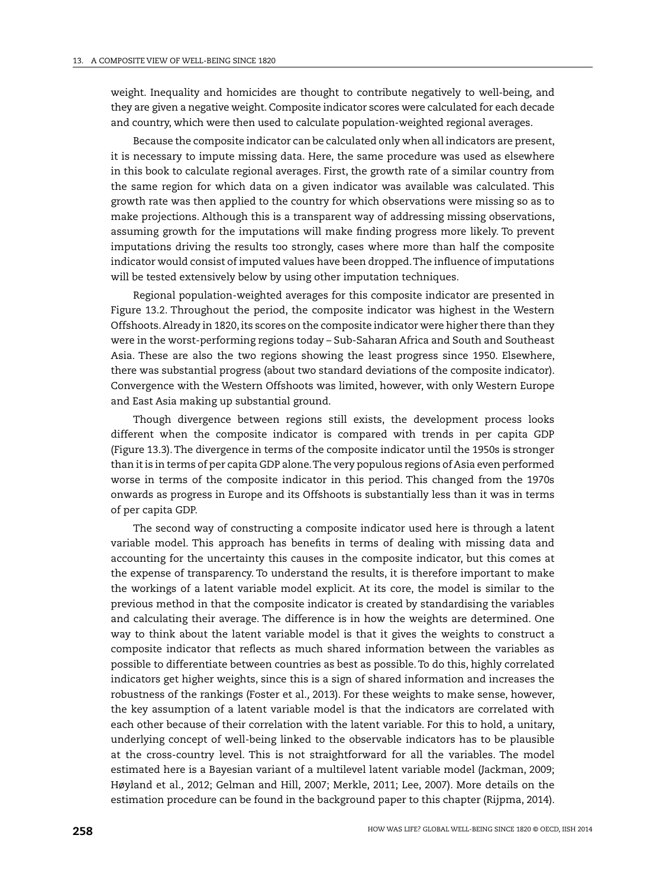weight. Inequality and homicides are thought to contribute negatively to well-being, and they are given a negative weight. Composite indicator scores were calculated for each decade and country, which were then used to calculate population-weighted regional averages.

Because the composite indicator can be calculated only when all indicators are present, it is necessary to impute missing data. Here, the same procedure was used as elsewhere in this book to calculate regional averages. First, the growth rate of a similar country from the same region for which data on a given indicator was available was calculated. This growth rate was then applied to the country for which observations were missing so as to make projections. Although this is a transparent way of addressing missing observations, assuming growth for the imputations will make finding progress more likely. To prevent imputations driving the results too strongly, cases where more than half the composite indicator would consist of imputed values have been dropped. The influence of imputations will be tested extensively below by using other imputation techniques.

Regional population-weighted averages for this composite indicator are presented in [Figure 13.2.](#page-10-0) Throughout the period, the composite indicator was highest in the Western Offshoots. Already in 1820, its scores on the composite indicator were higher there than they were in the worst-performing regions today – Sub-Saharan Africa and South and Southeast Asia. These are also the two regions showing the least progress since 1950. Elsewhere, there was substantial progress (about two standard deviations of the composite indicator). Convergence with the Western Offshoots was limited, however, with only Western Europe and East Asia making up substantial ground.

Though divergence between regions still exists, the development process looks different when the composite indicator is compared with trends in per capita GDP [\(Figure 13.3](#page-11-0)). The divergence in terms of the composite indicator until the 1950s is stronger than it is in terms of per capita GDP alone. The very populous regions of Asia even performed worse in terms of the composite indicator in this period. This changed from the 1970s onwards as progress in Europe and its Offshoots is substantially less than it was in terms of per capita GDP.

The second way of constructing a composite indicator used here is through a latent variable model. This approach has benefits in terms of dealing with missing data and accounting for the uncertainty this causes in the composite indicator, but this comes at the expense of transparency. To understand the results, it is therefore important to make the workings of a latent variable model explicit. At its core, the model is similar to the previous method in that the composite indicator is created by standardising the variables and calculating their average. The difference is in how the weights are determined. One way to think about the latent variable model is that it gives the weights to construct a composite indicator that reflects as much shared information between the variables as possible to differentiate between countries as best as possible. To do this, highly correlated indicators get higher weights, since this is a sign of shared information and increases the robustness of the rankings (Foster et al.*,* 2013). For these weights to make sense, however, the key assumption of a latent variable model is that the indicators are correlated with each other because of their correlation with the latent variable. For this to hold, a unitary, underlying concept of well-being linked to the observable indicators has to be plausible at the cross-country level. This is not straightforward for all the variables. The model estimated here is a Bayesian variant of a multilevel latent variable model (Jackman, 2009; Høyland et al.*,* 2012; Gelman and Hill, 2007; Merkle, 2011; Lee, 2007). More details on the estimation procedure can be found in the background paper to this chapter (Rijpma, 2014).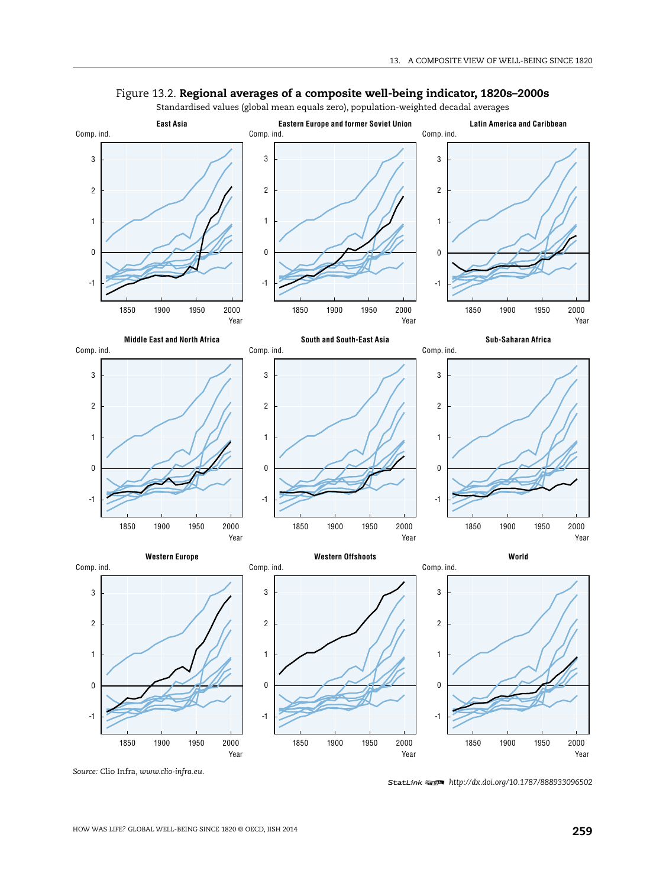<span id="page-10-0"></span>



*Source:* Clio Infra, *[www.clio-infra.eu](http://www.clio-infra.eu)*.

 *http://dx.doi.org/10.1787/888933096502*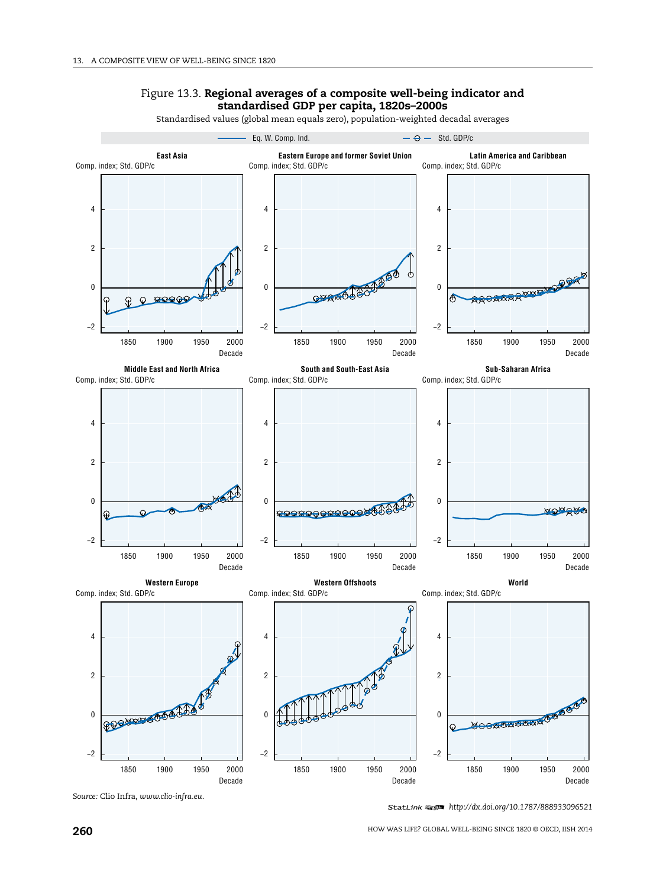<span id="page-11-0"></span>

## Figure 13.3. Regional averages of a composite well-being indicator and standardised GDP per capita, 1820s–2000s

Standardised values (global mean equals zero), population-weighted decadal averages

<sup>12</sup> *http://dx.doi.org/10.1787/888933096521*

*Source:* Clio Infra, *[www.clio-infra.eu](http://www.clio-infra.eu)*.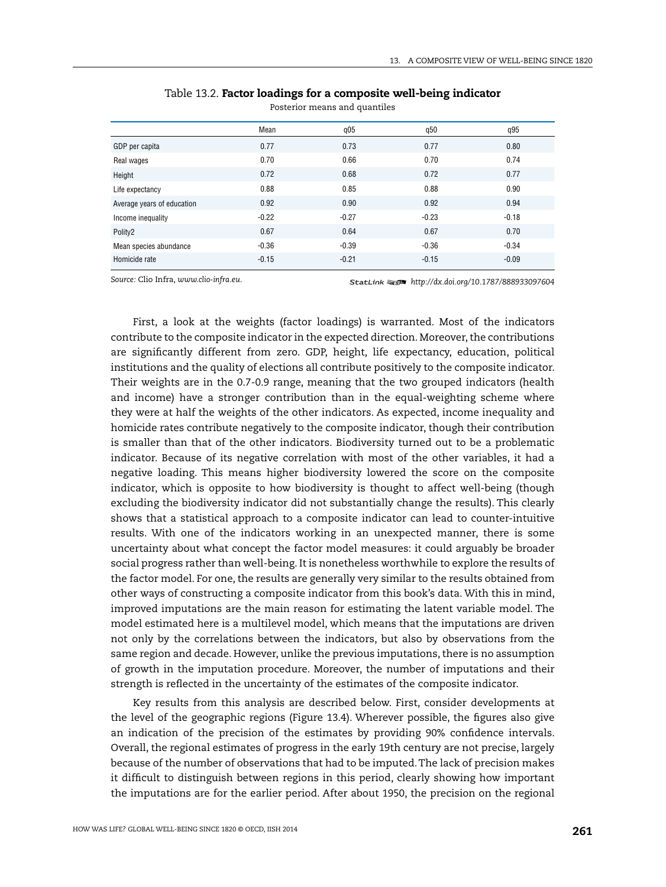|                            | Mean    | q05     | q50     | q95     |
|----------------------------|---------|---------|---------|---------|
| GDP per capita             | 0.77    | 0.73    | 0.77    | 0.80    |
| Real wages                 | 0.70    | 0.66    | 0.70    | 0.74    |
| Height                     | 0.72    | 0.68    | 0.72    | 0.77    |
| Life expectancy            | 0.88    | 0.85    | 0.88    | 0.90    |
| Average years of education | 0.92    | 0.90    | 0.92    | 0.94    |
| Income inequality          | $-0.22$ | $-0.27$ | $-0.23$ | $-0.18$ |
| Polity2                    | 0.67    | 0.64    | 0.67    | 0.70    |
| Mean species abundance     | $-0.36$ | $-0.39$ | $-0.36$ | $-0.34$ |
| Homicide rate              | $-0.15$ | $-0.21$ | $-0.15$ | $-0.09$ |

## Table 13.2. Factor loadings for a composite well-being indicator

Posterior means and quantiles

*Source:* Clio Infra, *www.clio-infra.eu*. 12 *http://dx.doi.org/10.1787/888933097604*

First, a look at the weights (factor loadings) is warranted. Most of the indicators contribute to the composite indicator in the expected direction. Moreover, the contributions are significantly different from zero. GDP, height, life expectancy, education, political institutions and the quality of elections all contribute positively to the composite indicator. Their weights are in the 0.7-0.9 range, meaning that the two grouped indicators (health and income) have a stronger contribution than in the equal-weighting scheme where they were at half the weights of the other indicators. As expected, income inequality and homicide rates contribute negatively to the composite indicator, though their contribution is smaller than that of the other indicators. Biodiversity turned out to be a problematic indicator. Because of its negative correlation with most of the other variables, it had a negative loading. This means higher biodiversity lowered the score on the composite indicator, which is opposite to how biodiversity is thought to affect well-being (though excluding the biodiversity indicator did not substantially change the results). This clearly shows that a statistical approach to a composite indicator can lead to counter-intuitive results. With one of the indicators working in an unexpected manner, there is some uncertainty about what concept the factor model measures: it could arguably be broader social progress rather than well-being. It is nonetheless worthwhile to explore the results of the factor model. For one, the results are generally very similar to the results obtained from other ways of constructing a composite indicator from this book's data. With this in mind, improved imputations are the main reason for estimating the latent variable model. The model estimated here is a multilevel model, which means that the imputations are driven not only by the correlations between the indicators, but also by observations from the same region and decade. However, unlike the previous imputations, there is no assumption of growth in the imputation procedure. Moreover, the number of imputations and their strength is reflected in the uncertainty of the estimates of the composite indicator.

Key results from this analysis are described below. First, consider developments at the level of the geographic regions ([Figure 13.4](#page-13-0)). Wherever possible, the figures also give an indication of the precision of the estimates by providing 90% confidence intervals. Overall, the regional estimates of progress in the early 19th century are not precise, largely because of the number of observations that had to be imputed. The lack of precision makes it difficult to distinguish between regions in this period, clearly showing how important the imputations are for the earlier period. After about 1950, the precision on the regional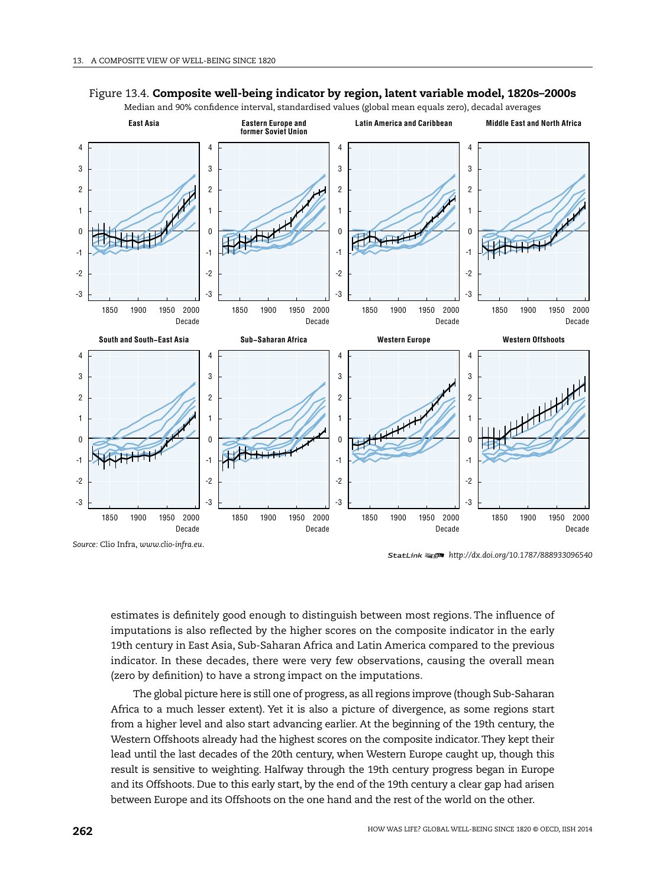<span id="page-13-0"></span>

Figure 13.4. Composite well-being indicator by region, latent variable model, 1820s–2000s

12 *http://dx.doi.org/10.1787/888933096540*

estimates is definitely good enough to distinguish between most regions. The influence of imputations is also reflected by the higher scores on the composite indicator in the early 19th century in East Asia, Sub-Saharan Africa and Latin America compared to the previous indicator. In these decades, there were very few observations, causing the overall mean (zero by definition) to have a strong impact on the imputations.

The global picture here is still one of progress, as all regions improve (though Sub-Saharan Africa to a much lesser extent). Yet it is also a picture of divergence, as some regions start from a higher level and also start advancing earlier. At the beginning of the 19th century, the Western Offshoots already had the highest scores on the composite indicator. They kept their lead until the last decades of the 20th century, when Western Europe caught up, though this result is sensitive to weighting. Halfway through the 19th century progress began in Europe and its Offshoots. Due to this early start, by the end of the 19th century a clear gap had arisen between Europe and its Offshoots on the one hand and the rest of the world on the other.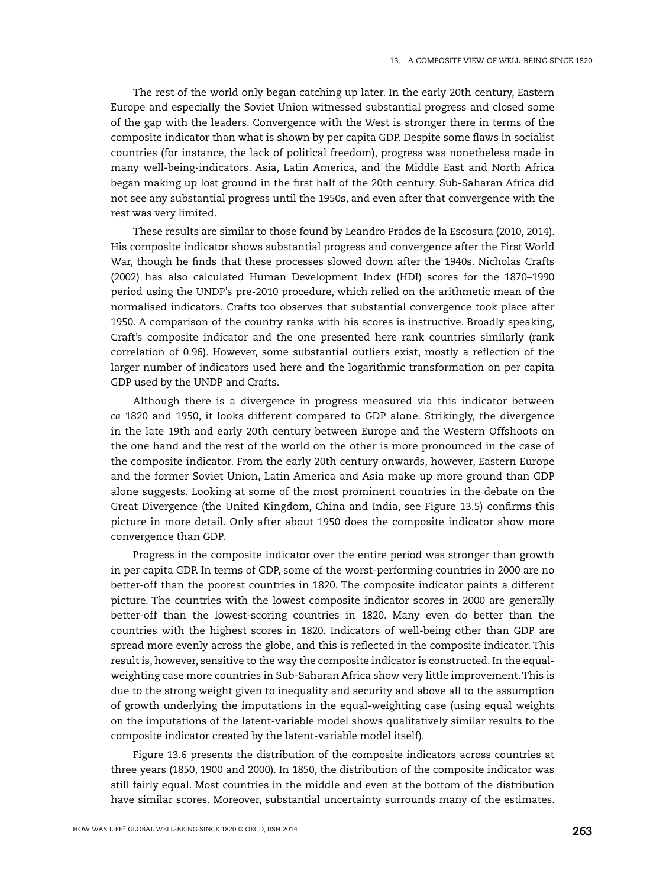The rest of the world only began catching up later. In the early 20th century, Eastern Europe and especially the Soviet Union witnessed substantial progress and closed some of the gap with the leaders. Convergence with the West is stronger there in terms of the composite indicator than what is shown by per capita GDP. Despite some flaws in socialist countries (for instance, the lack of political freedom), progress was nonetheless made in many well-being-indicators. Asia, Latin America, and the Middle East and North Africa began making up lost ground in the first half of the 20th century. Sub-Saharan Africa did not see any substantial progress until the 1950s, and even after that convergence with the rest was very limited.

These results are similar to those found by Leandro Prados de la Escosura (2010, 2014). His composite indicator shows substantial progress and convergence after the First World War, though he finds that these processes slowed down after the 1940s. Nicholas Crafts (2002) has also calculated Human Development Index (HDI) scores for the 1870–1990 period using the UNDP's pre-2010 procedure, which relied on the arithmetic mean of the normalised indicators. Crafts too observes that substantial convergence took place after 1950. A comparison of the country ranks with his scores is instructive. Broadly speaking, Craft's composite indicator and the one presented here rank countries similarly (rank correlation of 0.96). However, some substantial outliers exist, mostly a reflection of the larger number of indicators used here and the logarithmic transformation on per capita GDP used by the UNDP and Crafts.

Although there is a divergence in progress measured via this indicator between *ca* 1820 and 1950, it looks different compared to GDP alone. Strikingly, the divergence in the late 19th and early 20th century between Europe and the Western Offshoots on the one hand and the rest of the world on the other is more pronounced in the case of the composite indicator. From the early 20th century onwards, however, Eastern Europe and the former Soviet Union, Latin America and Asia make up more ground than GDP alone suggests. Looking at some of the most prominent countries in the debate on the Great Divergence (the United Kingdom, China and India, see [Figure 13.5\)](#page-15-0) confirms this picture in more detail. Only after about 1950 does the composite indicator show more convergence than GDP.

Progress in the composite indicator over the entire period was stronger than growth in per capita GDP. In terms of GDP, some of the worst-performing countries in 2000 are no better-off than the poorest countries in 1820. The composite indicator paints a different picture. The countries with the lowest composite indicator scores in 2000 are generally better-off than the lowest-scoring countries in 1820. Many even do better than the countries with the highest scores in 1820. Indicators of well-being other than GDP are spread more evenly across the globe, and this is reflected in the composite indicator. This result is, however, sensitive to the way the composite indicator is constructed. In the equalweighting case more countries in Sub-Saharan Africa show very little improvement. This is due to the strong weight given to inequality and security and above all to the assumption of growth underlying the imputations in the equal-weighting case (using equal weights on the imputations of the latent-variable model shows qualitatively similar results to the composite indicator created by the latent-variable model itself).

[Figure 13.6](#page-16-0) presents the distribution of the composite indicators across countries at three years (1850, 1900 and 2000). In 1850, the distribution of the composite indicator was still fairly equal. Most countries in the middle and even at the bottom of the distribution have similar scores. Moreover, substantial uncertainty surrounds many of the estimates.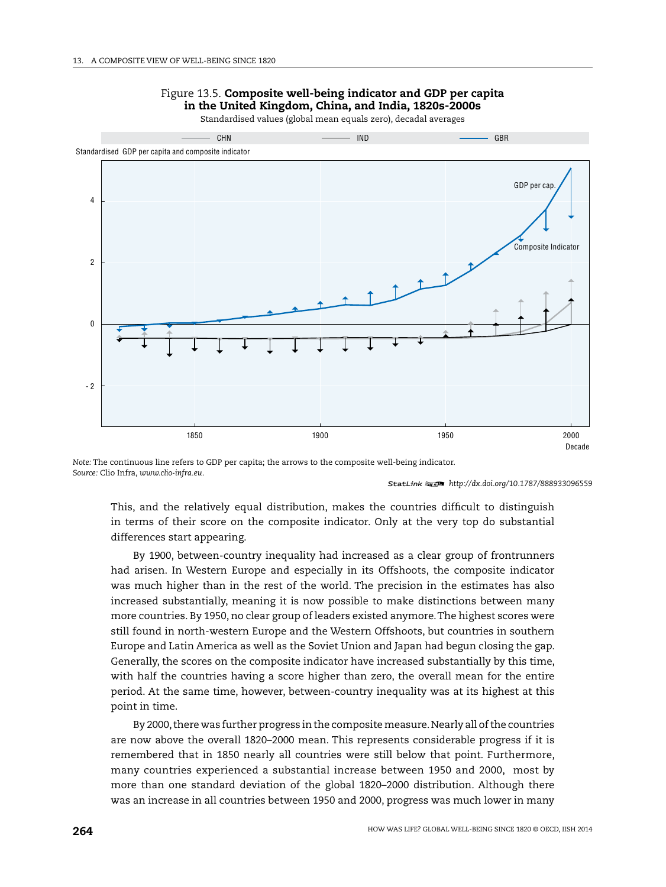<span id="page-15-0"></span>

Figure 13.5. Composite well-being indicator and GDP per capita in the United Kingdom, China, and India, 1820s-2000s

Standardised values (global mean equals zero), decadal averages

*Note:* The continuous line refers to GDP per capita; the arrows to the composite well-being indicator. *Source:* Clio Infra, *[www.clio-infra.eu](http://www.clio-infra.eu)*.

12 *http://dx.doi.org/10.1787/888933096559*

This, and the relatively equal distribution, makes the countries difficult to distinguish in terms of their score on the composite indicator. Only at the very top do substantial differences start appearing.

By 1900, between-country inequality had increased as a clear group of frontrunners had arisen. In Western Europe and especially in its Offshoots, the composite indicator was much higher than in the rest of the world. The precision in the estimates has also increased substantially, meaning it is now possible to make distinctions between many more countries. By 1950, no clear group of leaders existed anymore. The highest scores were still found in north-western Europe and the Western Offshoots, but countries in southern Europe and Latin America as well as the Soviet Union and Japan had begun closing the gap. Generally, the scores on the composite indicator have increased substantially by this time, with half the countries having a score higher than zero, the overall mean for the entire period. At the same time, however, between-country inequality was at its highest at this point in time.

By 2000, there was further progress in the composite measure. Nearly all of the countries are now above the overall 1820–2000 mean. This represents considerable progress if it is remembered that in 1850 nearly all countries were still below that point. Furthermore, many countries experienced a substantial increase between 1950 and 2000, most by more than one standard deviation of the global 1820–2000 distribution. Although there was an increase in all countries between 1950 and 2000, progress was much lower in many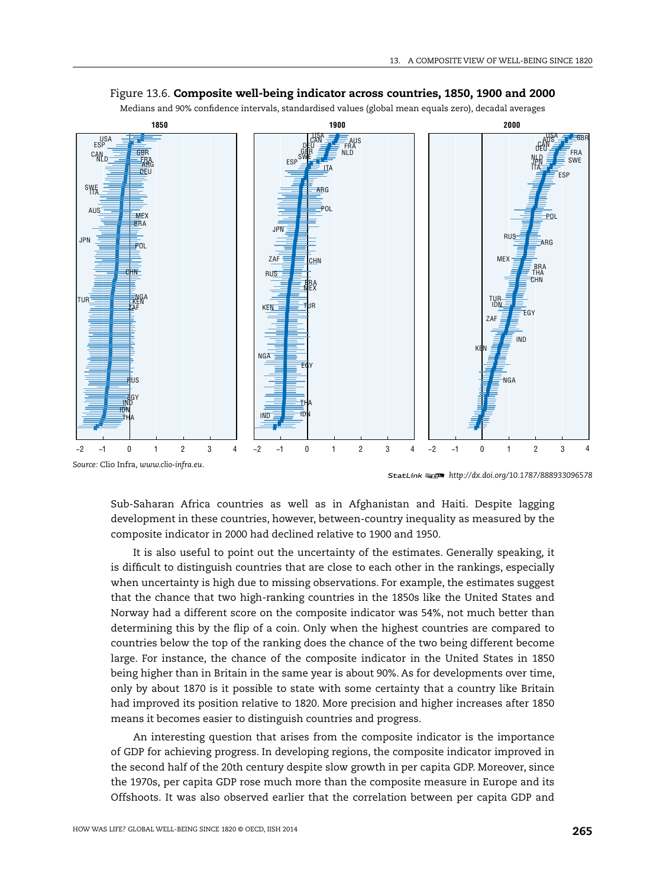<span id="page-16-0"></span>

#### Figure 13.6. Composite well-being indicator across countries, 1850, 1900 and 2000

Medians and 90% confidence intervals, standardised values (global mean equals zero), decadal averages

*Source:* Clio Infra, *[www.clio-infra.eu](http://www.clio-infra.eu)*.

12 *http://dx.doi.org/10.1787/888933096578*

Sub-Saharan Africa countries as well as in Afghanistan and Haiti. Despite lagging development in these countries, however, between-country inequality as measured by the composite indicator in 2000 had declined relative to 1900 and 1950.

It is also useful to point out the uncertainty of the estimates. Generally speaking, it is difficult to distinguish countries that are close to each other in the rankings, especially when uncertainty is high due to missing observations. For example, the estimates suggest that the chance that two high-ranking countries in the 1850s like the United States and Norway had a different score on the composite indicator was 54%, not much better than determining this by the flip of a coin. Only when the highest countries are compared to countries below the top of the ranking does the chance of the two being different become large. For instance, the chance of the composite indicator in the United States in 1850 being higher than in Britain in the same year is about 90%. As for developments over time, only by about 1870 is it possible to state with some certainty that a country like Britain had improved its position relative to 1820. More precision and higher increases after 1850 means it becomes easier to distinguish countries and progress.

An interesting question that arises from the composite indicator is the importance of GDP for achieving progress. In developing regions, the composite indicator improved in the second half of the 20th century despite slow growth in per capita GDP. Moreover, since the 1970s, per capita GDP rose much more than the composite measure in Europe and its Offshoots. It was also observed earlier that the correlation between per capita GDP and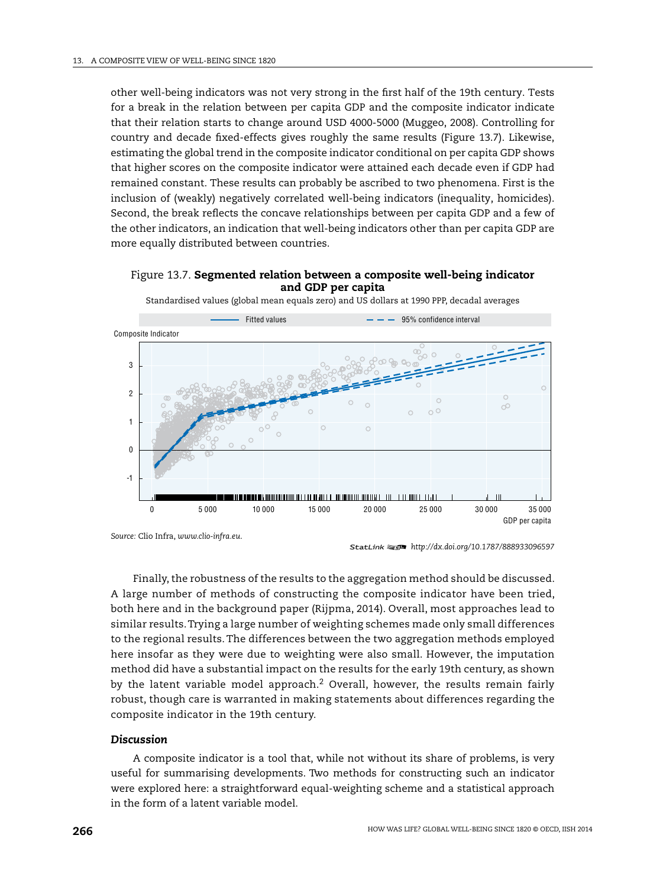<span id="page-17-0"></span>other well-being indicators was not very strong in the first half of the 19th century. Tests for a break in the relation between per capita GDP and the composite indicator indicate that their relation starts to change around USD 4000-5000 (Muggeo, 2008). Controlling for country and decade fixed-effects gives roughly the same results [\(Figure 13.7\)](#page-17-0). Likewise, estimating the global trend in the composite indicator conditional on per capita GDP shows that higher scores on the composite indicator were attained each decade even if GDP had remained constant. These results can probably be ascribed to two phenomena. First is the inclusion of (weakly) negatively correlated well-being indicators (inequality, homicides). Second, the break reflects the concave relationships between per capita GDP and a few of the other indicators, an indication that well-being indicators other than per capita GDP are more equally distributed between countries.

Figure 13.7. Segmented relation between a composite well-being indicator and GDP per capita



Standardised values (global mean equals zero) and US dollars at 1990 PPP, decadal averages

12 *http://dx.doi.org/10.1787/888933096597*

Finally, the robustness of the results to the aggregation method should be discussed. A large number of methods of constructing the composite indicator have been tried, both here and in the background paper (Rijpma, 2014). Overall, most approaches lead to similar results. Trying a large number of weighting schemes made only small differences to the regional results. The differences between the two aggregation methods employed here insofar as they were due to weighting were also small. However, the imputation method did have a substantial impact on the results for the early 19th century, as shown by the latent variable model approach.[2](#page-18-0) Overall, however, the results remain fairly robust, though care is warranted in making statements about differences regarding the composite indicator in the 19th century.

#### *Discussion*

A composite indicator is a tool that, while not without its share of problems, is very useful for summarising developments. Two methods for constructing such an indicator were explored here: a straightforward equal-weighting scheme and a statistical approach in the form of a latent variable model.

*Source:* Clio Infra, *[www.clio-infra.eu](http://www.clio-infra.eu)*.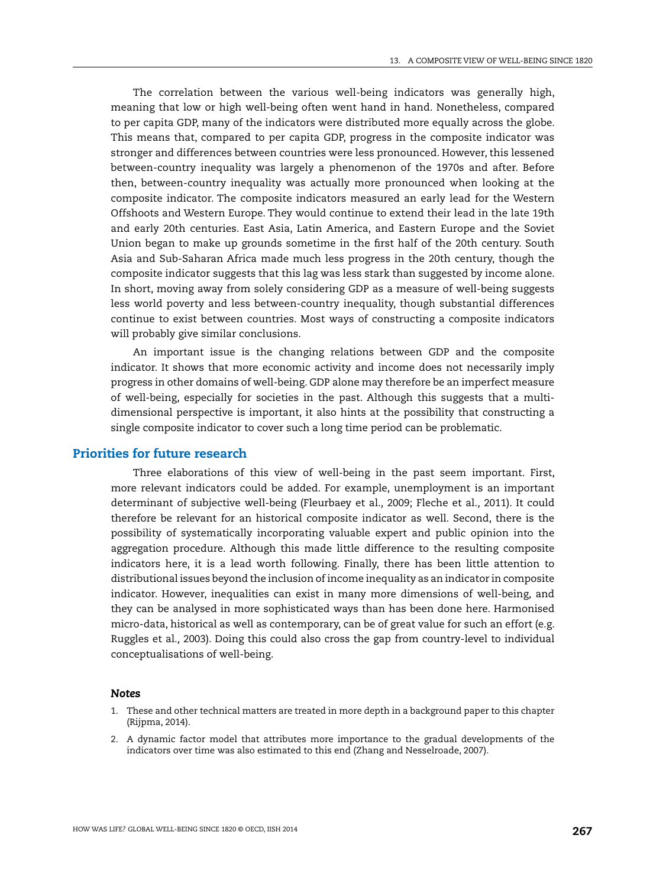The correlation between the various well-being indicators was generally high, meaning that low or high well-being often went hand in hand. Nonetheless, compared to per capita GDP, many of the indicators were distributed more equally across the globe. This means that, compared to per capita GDP, progress in the composite indicator was stronger and differences between countries were less pronounced. However, this lessened between-country inequality was largely a phenomenon of the 1970s and after. Before then, between-country inequality was actually more pronounced when looking at the composite indicator. The composite indicators measured an early lead for the Western Offshoots and Western Europe. They would continue to extend their lead in the late 19th and early 20th centuries. East Asia, Latin America, and Eastern Europe and the Soviet Union began to make up grounds sometime in the first half of the 20th century. South Asia and Sub-Saharan Africa made much less progress in the 20th century, though the composite indicator suggests that this lag was less stark than suggested by income alone. In short, moving away from solely considering GDP as a measure of well-being suggests less world poverty and less between-country inequality, though substantial differences continue to exist between countries. Most ways of constructing a composite indicators will probably give similar conclusions.

An important issue is the changing relations between GDP and the composite indicator. It shows that more economic activity and income does not necessarily imply progress in other domains of well-being. GDP alone may therefore be an imperfect measure of well-being, especially for societies in the past. Although this suggests that a multidimensional perspective is important, it also hints at the possibility that constructing a single composite indicator to cover such a long time period can be problematic.

# <span id="page-18-0"></span>Priorities for future research

Three elaborations of this view of well-being in the past seem important. First, more relevant indicators could be added. For example, unemployment is an important determinant of subjective well-being (Fleurbaey et al.*,* 2009; Fleche et al.*,* 2011). It could therefore be relevant for an historical composite indicator as well. Second, there is the possibility of systematically incorporating valuable expert and public opinion into the aggregation procedure. Although this made little difference to the resulting composite indicators here, it is a lead worth following. Finally, there has been little attention to distributional issues beyond the inclusion of income inequality as an indicator in composite indicator. However, inequalities can exist in many more dimensions of well-being, and they can be analysed in more sophisticated ways than has been done here. Harmonised micro-data, historical as well as contemporary, can be of great value for such an effort (e.g. Ruggles et al.*,* 2003). Doing this could also cross the gap from country-level to individual conceptualisations of well-being.

#### *Notes*

- 1. These and other technical matters are treated in more depth in a background paper to this chapter (Rijpma, 2014).
- 2. A dynamic factor model that attributes more importance to the gradual developments of the indicators over time was also estimated to this end (Zhang and Nesselroade, 2007).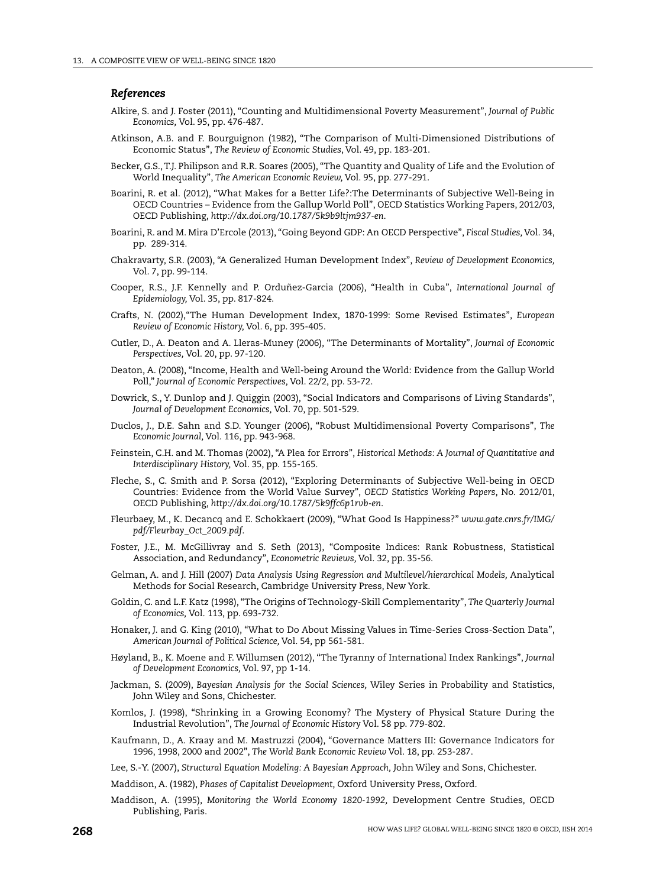#### *References*

- Alkire, S. and J. Foster (2011), "Counting and Multidimensional Poverty Measurement", *Journal of Public Economics,* Vol. 95, pp. 476-487.
- Atkinson, A.B. and F. Bourguignon (1982), "The Comparison of Multi-Dimensioned Distributions of Economic Status", *The Review of Economic Studies*, Vol. 49, pp. 183-201.
- Becker, G.S., T.J. Philipson and R.R. Soares (2005), "The Quantity and Quality of Life and the Evolution of World Inequality", *The American Economic Review,* Vol. 95, pp. 277-291.
- Boarini, R. et al. (2012), "What Makes for a Better Life?:The Determinants of Subjective Well-Being in OECD Countries – Evidence from the Gallup World Poll", OECD Statistics Working Papers, 2012/03, OECD Publishing, *<http://dx.doi.org/10.1787/5k9b9ltjm937-en>*.
- Boarini, R. and M. Mira D'Ercole (2013), "Going Beyond GDP: An OECD Perspective", *Fiscal Studies,* Vol. 34, pp. 289-314.
- Chakravarty, S.R. (2003), "A Generalized Human Development Index", *Review of Development Economics,*  Vol. 7, pp. 99-114.
- Cooper, R.S., J.F. Kennelly and P. Orduñez-Garcia (2006), "Health in Cuba", *International Journal of Epidemiology,* Vol. 35, pp. 817-824.
- Crafts, N. (2002),"The Human Development Index, 1870-1999: Some Revised Estimates", *European Review of Economic History,* Vol. 6, pp. 395-405.
- Cutler, D., A. Deaton and A. Lleras-Muney (2006), "The Determinants of Mortality", *Journal of Economic Perspectives,* Vol. 20, pp. 97-120.
- Deaton, A. (2008), "Income, Health and Well-being Around the World: Evidence from the Gallup World Poll," *Journal of Economic Perspectives,* Vol. 22/2, pp. 53-72.
- Dowrick, S., Y. Dunlop and J. Quiggin (2003), "Social Indicators and Comparisons of Living Standards", *Journal of Development Economics,* Vol. 70, pp. 501-529.
- Duclos, J., D.E. Sahn and S.D. Younger (2006), "Robust Multidimensional Poverty Comparisons", *The Economic Journal,* Vol. 116, pp. 943-968.
- Feinstein, C.H. and M. Thomas (2002), "A Plea for Errors", *Historical Methods: A Journal of Quantitative and Interdisciplinary History,* Vol. 35, pp. 155-165.
- Fleche, S., C. Smith and P. Sorsa (2012), "Exploring Determinants of Subjective Well-being in OECD Countries: Evidence from the World Value Survey", *OECD Statistics Working Papers*, No. 2012/01, OECD Publishing, *<http://dx.doi.org/10.1787/5k9ffc6p1rvb-en>*.
- Fleurbaey, M., K. Decancq and E. Schokkaert (2009), "What Good Is Happiness?" *[www.gate.cnrs.fr/IMG/](http://www.gate.cnrs.fr/IMG/pdf/Fleurbay_Oct_2009.pdf) [pdf/Fleurbay\\_Oct\\_2009.pdf](http://www.gate.cnrs.fr/IMG/pdf/Fleurbay_Oct_2009.pdf)*.
- Foster, J.E., M. McGillivray and S. Seth (2013), "Composite Indices: Rank Robustness, Statistical Association, and Redundancy", *Econometric Reviews,* Vol. 32, pp. 35-56.
- Gelman, A. and J. Hill (2007) *Data Analysis Using Regression and Multilevel/hierarchical Models,* Analytical Methods for Social Research, Cambridge University Press, New York.
- Goldin, C. and L.F. Katz (1998), "The Origins of Technology-Skill Complementarity", *The Quarterly Journal of Economics,* Vol. 113, pp. 693-732.
- Honaker, J. and G. King (2010), "What to Do About Missing Values in Time-Series Cross-Section Data", *American Journal of Political Science,* Vol. 54, pp 561-581.
- Høyland, B., K. Moene and F. Willumsen (2012), "The Tyranny of International Index Rankings", *Journal of Development Economics,* Vol. 97, pp 1-14.
- Jackman, S. (2009), *Bayesian Analysis for the Social Sciences,* Wiley Series in Probability and Statistics, John Wiley and Sons, Chichester.
- Komlos, J. (1998), "Shrinking in a Growing Economy? The Mystery of Physical Stature During the Industrial Revolution", *The Journal of Economic History* Vol. 58 pp. 779-802.
- Kaufmann, D., A. Kraay and M. Mastruzzi (2004), "Governance Matters III: Governance Indicators for 1996, 1998, 2000 and 2002", *The World Bank Economic Review* Vol. 18, pp. 253-287.
- Lee, S.-Y. (2007), *Structural Equation Modeling: A Bayesian Approach,* John Wiley and Sons, Chichester.
- Maddison, A. (1982), *Phases of Capitalist Development*, Oxford University Press, Oxford.
- Maddison, A. (1995), *Monitoring the World Economy 1820-1992,* Development Centre Studies, OECD Publishing, Paris.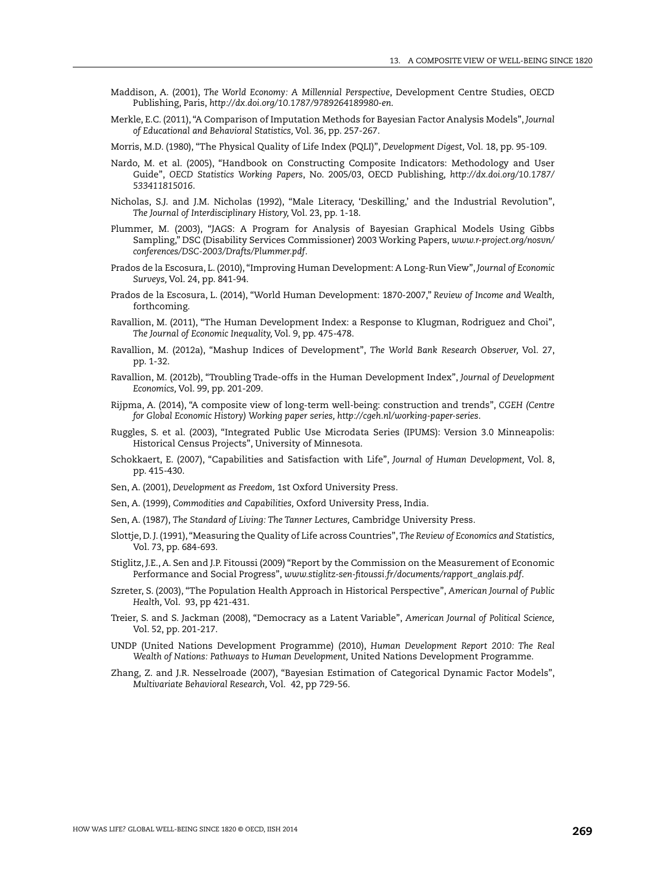- Maddison, A. (2001), *The World Economy: A Millennial Perspective*, Development Centre Studies, OECD Publishing, Paris, *<http://dx.doi.org/10.1787/9789264189980-en>*.
- Merkle, E.C. (2011), "A Comparison of Imputation Methods for Bayesian Factor Analysis Models", *Journal of Educational and Behavioral Statistics,* Vol. 36, pp. 257-267.

Morris, M.D. (1980), "The Physical Quality of Life Index (PQLI)", *Development Digest,* Vol. 18, pp. 95-109.

- Nardo, M. et al. (2005), "Handbook on Constructing Composite Indicators: Methodology and User Guide", *OECD Statistics Working Papers*, No. 2005/03, OECD Publishing, *[http://dx.doi.org/10.1787/](http://dx.doi.org/10.1787/533411815016) [533411815016](http://dx.doi.org/10.1787/533411815016)*.
- Nicholas, S.J. and J.M. Nicholas (1992), "Male Literacy, 'Deskilling,' and the Industrial Revolution", *The Journal of Interdisciplinary History,* Vol. 23, pp. 1-18.
- Plummer, M. (2003), "JAGS: A Program for Analysis of Bayesian Graphical Models Using Gibbs Sampling," DSC (Disability Services Commissioner) 2003 Working Papers, *[www.r-project.org/nosvn/](http://www.r-project.org/nosvn/conferences/DSC-2003/Drafts/Plummer.pdf) [conferences/DSC-2003/Drafts/Plummer.pdf](http://www.r-project.org/nosvn/conferences/DSC-2003/Drafts/Plummer.pdf)*.
- Prados de la Escosura, L. (2010), "Improving Human Development: A Long-Run View", *Journal of Economic Surveys,* Vol. 24, pp. 841-94.
- Prados de la Escosura, L. (2014), "World Human Development: 1870-2007," *Review of Income and Wealth,* forthcoming.
- Ravallion, M. (2011), "The Human Development Index: a Response to Klugman, Rodriguez and Choi", *The Journal of Economic Inequality,* Vol. 9, pp. 475-478.
- Ravallion, M. (2012a), "Mashup Indices of Development", *The World Bank Research Observer,* Vol. 27, pp. 1-32.
- Ravallion, M. (2012b), "Troubling Trade-offs in the Human Development Index", *Journal of Development Economics,* Vol. 99, pp. 201-209.
- Rijpma, A. (2014), "A composite view of long-term well-being: construction and trends", *CGEH (Centre for Global Economic History) Working paper series, <http://cgeh.nl/working-paper-series>*.
- Ruggles, S. et al. (2003), "Integrated Public Use Microdata Series (IPUMS): Version 3.0 Minneapolis: Historical Census Projects", University of Minnesota.
- Schokkaert, E. (2007), "Capabilities and Satisfaction with Life", *Journal of Human Development,* Vol. 8, pp. 415-430.
- Sen, A. (2001), *Development as Freedom,* 1st Oxford University Press.
- Sen, A. (1999), *Commodities and Capabilities,* Oxford University Press, India.
- Sen, A. (1987), *The Standard of Living: The Tanner Lectures,* Cambridge University Press.
- Slottje, D. J. (1991), "Measuring the Quality of Life across Countries", *The Review of Economics and Statistics,* Vol. 73, pp. 684-693.
- Stiglitz, J.E., A. Sen and J.P. Fitoussi (2009) "Report by the Commission on the Measurement of Economic Performance and Social Progress", *[www.stiglitz-sen-fitoussi.fr/documents/rapport\\_anglais.pdf](http://www.stiglitz-sen-fitoussi.fr/documents/rapport_anglais.pdf)*.
- Szreter, S. (2003), "The Population Health Approach in Historical Perspective", *American Journal of Public Health,* Vol. 93, pp 421-431.
- Treier, S. and S. Jackman (2008), "Democracy as a Latent Variable", *American Journal of Political Science,* Vol. 52, pp. 201-217.
- UNDP (United Nations Development Programme) (2010), *Human Development Report 2010: The Real Wealth of Nations: Pathways to Human Development,* United Nations Development Programme.
- Zhang, Z. and J.R. Nesselroade (2007), "Bayesian Estimation of Categorical Dynamic Factor Models", *Multivariate Behavioral Research,* Vol. 42, pp 729-56.